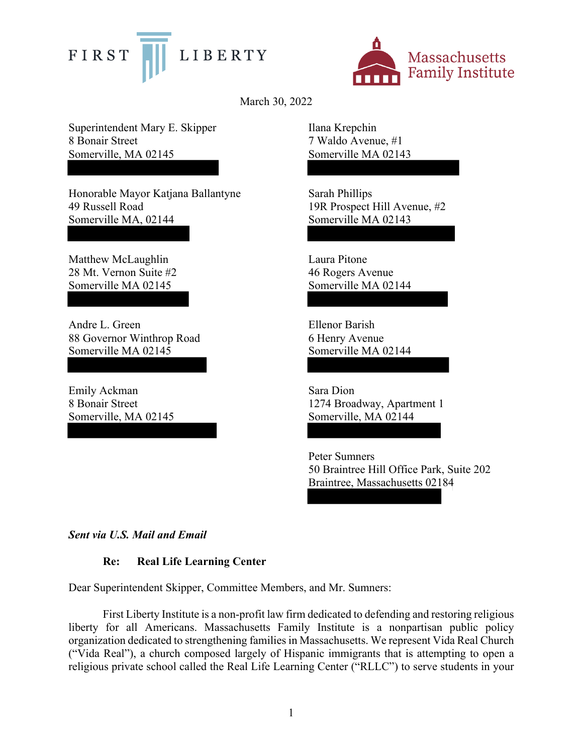



March 30, 2022

Superintendent Mary E. Skipper 8 Bonair Street Somerville, MA 02145

Honorable Mayor Katjana Ballantyne 49 Russell Road Somerville MA, 02144

Matthew McLaughlin 28 Mt. Vernon Suite #2 Somerville MA 02145

Andre L. Green 88 Governor Winthrop Road Somerville MA 02145

Emily Ackman 8 Bonair Street Somerville, MA 02145 Ilana Krepchin 7 Waldo Avenue, #1 Somerville MA 02143

Sarah Phillips 19R Prospect Hill Avenue, #2 Somerville MA 02143

Laura Pitone 46 Rogers Avenue Somerville MA 02144

Ellenor Barish 6 Henry Avenue Somerville MA 02144

Sara Dion 1274 Broadway, Apartment 1 Somerville, MA 02144

Peter Sumners 50 Braintree Hill Office Park, Suite 202 Braintree, Massachusetts 02184

*Sent via U.S. Mail and Email* 

# **Re: Real Life Learning Center**

Dear Superintendent Skipper, Committee Members, and Mr. Sumners:

First Liberty Institute is a non-profit law firm dedicated to defending and restoring religious liberty for all Americans. Massachusetts Family Institute is a nonpartisan public policy organization dedicated to strengthening families in Massachusetts. We represent Vida Real Church ("Vida Real"), a church composed largely of Hispanic immigrants that is attempting to open a religious private school called the Real Life Learning Center ("RLLC") to serve students in your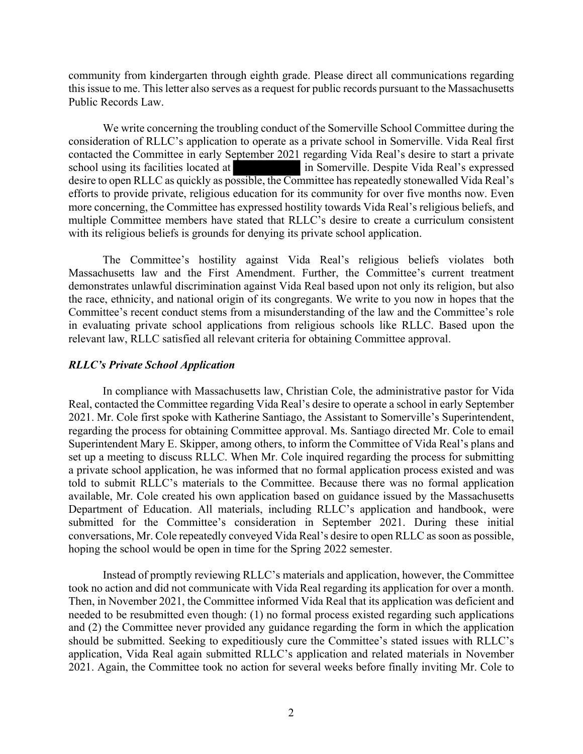community from kindergarten through eighth grade. Please direct all communications regarding this issue to me. This letter also serves as a request for public records pursuant to the Massachusetts Public Records Law.

We write concerning the troubling conduct of the Somerville School Committee during the consideration of RLLC's application to operate as a private school in Somerville. Vida Real first contacted the Committee in early September 2021 regarding Vida Real's desire to start a private school using its facilities located at in Somerville. Despite Vida Real's expressed desire to open RLLC as quickly as possible, the Committee has repeatedly stonewalled Vida Real's efforts to provide private, religious education for its community for over five months now. Even more concerning, the Committee has expressed hostility towards Vida Real's religious beliefs, and multiple Committee members have stated that RLLC's desire to create a curriculum consistent with its religious beliefs is grounds for denying its private school application.

The Committee's hostility against Vida Real's religious beliefs violates both Massachusetts law and the First Amendment. Further, the Committee's current treatment demonstrates unlawful discrimination against Vida Real based upon not only its religion, but also the race, ethnicity, and national origin of its congregants. We write to you now in hopes that the Committee's recent conduct stems from a misunderstanding of the law and the Committee's role in evaluating private school applications from religious schools like RLLC. Based upon the relevant law, RLLC satisfied all relevant criteria for obtaining Committee approval.

# *RLLC's Private School Application*

In compliance with Massachusetts law, Christian Cole, the administrative pastor for Vida Real, contacted the Committee regarding Vida Real's desire to operate a school in early September 2021. Mr. Cole first spoke with Katherine Santiago, the Assistant to Somerville's Superintendent, regarding the process for obtaining Committee approval. Ms. Santiago directed Mr. Cole to email Superintendent Mary E. Skipper, among others, to inform the Committee of Vida Real's plans and set up a meeting to discuss RLLC. When Mr. Cole inquired regarding the process for submitting a private school application, he was informed that no formal application process existed and was told to submit RLLC's materials to the Committee. Because there was no formal application available, Mr. Cole created his own application based on guidance issued by the Massachusetts Department of Education. All materials, including RLLC's application and handbook, were submitted for the Committee's consideration in September 2021. During these initial conversations, Mr. Cole repeatedly conveyed Vida Real's desire to open RLLC as soon as possible, hoping the school would be open in time for the Spring 2022 semester.

Instead of promptly reviewing RLLC's materials and application, however, the Committee took no action and did not communicate with Vida Real regarding its application for over a month. Then, in November 2021, the Committee informed Vida Real that its application was deficient and needed to be resubmitted even though: (1) no formal process existed regarding such applications and (2) the Committee never provided any guidance regarding the form in which the application should be submitted. Seeking to expeditiously cure the Committee's stated issues with RLLC's application, Vida Real again submitted RLLC's application and related materials in November 2021. Again, the Committee took no action for several weeks before finally inviting Mr. Cole to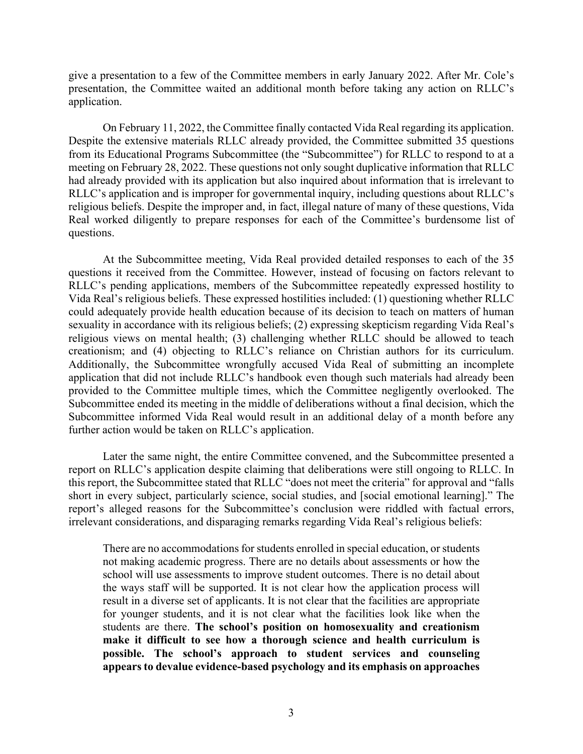give a presentation to a few of the Committee members in early January 2022. After Mr. Cole's presentation, the Committee waited an additional month before taking any action on RLLC's application.

On February 11, 2022, the Committee finally contacted Vida Real regarding its application. Despite the extensive materials RLLC already provided, the Committee submitted 35 questions from its Educational Programs Subcommittee (the "Subcommittee") for RLLC to respond to at a meeting on February 28, 2022. These questions not only sought duplicative information that RLLC had already provided with its application but also inquired about information that is irrelevant to RLLC's application and is improper for governmental inquiry, including questions about RLLC's religious beliefs. Despite the improper and, in fact, illegal nature of many of these questions, Vida Real worked diligently to prepare responses for each of the Committee's burdensome list of questions.

At the Subcommittee meeting, Vida Real provided detailed responses to each of the 35 questions it received from the Committee. However, instead of focusing on factors relevant to RLLC's pending applications, members of the Subcommittee repeatedly expressed hostility to Vida Real's religious beliefs. These expressed hostilities included: (1) questioning whether RLLC could adequately provide health education because of its decision to teach on matters of human sexuality in accordance with its religious beliefs; (2) expressing skepticism regarding Vida Real's religious views on mental health; (3) challenging whether RLLC should be allowed to teach creationism; and (4) objecting to RLLC's reliance on Christian authors for its curriculum. Additionally, the Subcommittee wrongfully accused Vida Real of submitting an incomplete application that did not include RLLC's handbook even though such materials had already been provided to the Committee multiple times, which the Committee negligently overlooked. The Subcommittee ended its meeting in the middle of deliberations without a final decision, which the Subcommittee informed Vida Real would result in an additional delay of a month before any further action would be taken on RLLC's application.

Later the same night, the entire Committee convened, and the Subcommittee presented a report on RLLC's application despite claiming that deliberations were still ongoing to RLLC. In this report, the Subcommittee stated that RLLC "does not meet the criteria" for approval and "falls short in every subject, particularly science, social studies, and [social emotional learning]." The report's alleged reasons for the Subcommittee's conclusion were riddled with factual errors, irrelevant considerations, and disparaging remarks regarding Vida Real's religious beliefs:

There are no accommodations for students enrolled in special education, or students not making academic progress. There are no details about assessments or how the school will use assessments to improve student outcomes. There is no detail about the ways staff will be supported. It is not clear how the application process will result in a diverse set of applicants. It is not clear that the facilities are appropriate for younger students, and it is not clear what the facilities look like when the students are there. **The school's position on homosexuality and creationism make it difficult to see how a thorough science and health curriculum is possible. The school's approach to student services and counseling appears to devalue evidence-based psychology and its emphasis on approaches**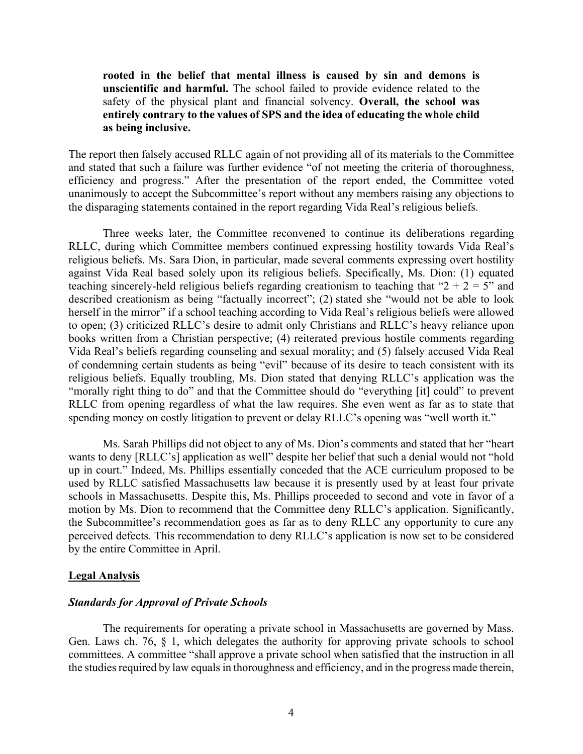**rooted in the belief that mental illness is caused by sin and demons is unscientific and harmful.** The school failed to provide evidence related to the safety of the physical plant and financial solvency. **Overall, the school was entirely contrary to the values of SPS and the idea of educating the whole child as being inclusive.**

The report then falsely accused RLLC again of not providing all of its materials to the Committee and stated that such a failure was further evidence "of not meeting the criteria of thoroughness, efficiency and progress." After the presentation of the report ended, the Committee voted unanimously to accept the Subcommittee's report without any members raising any objections to the disparaging statements contained in the report regarding Vida Real's religious beliefs.

Three weeks later, the Committee reconvened to continue its deliberations regarding RLLC, during which Committee members continued expressing hostility towards Vida Real's religious beliefs. Ms. Sara Dion, in particular, made several comments expressing overt hostility against Vida Real based solely upon its religious beliefs. Specifically, Ms. Dion: (1) equated teaching sincerely-held religious beliefs regarding creationism to teaching that " $2 + 2 = 5$ " and described creationism as being "factually incorrect"; (2) stated she "would not be able to look herself in the mirror" if a school teaching according to Vida Real's religious beliefs were allowed to open; (3) criticized RLLC's desire to admit only Christians and RLLC's heavy reliance upon books written from a Christian perspective; (4) reiterated previous hostile comments regarding Vida Real's beliefs regarding counseling and sexual morality; and (5) falsely accused Vida Real of condemning certain students as being "evil" because of its desire to teach consistent with its religious beliefs. Equally troubling, Ms. Dion stated that denying RLLC's application was the "morally right thing to do" and that the Committee should do "everything [it] could" to prevent RLLC from opening regardless of what the law requires. She even went as far as to state that spending money on costly litigation to prevent or delay RLLC's opening was "well worth it."

Ms. Sarah Phillips did not object to any of Ms. Dion's comments and stated that her "heart wants to deny [RLLC's] application as well" despite her belief that such a denial would not "hold up in court." Indeed, Ms. Phillips essentially conceded that the ACE curriculum proposed to be used by RLLC satisfied Massachusetts law because it is presently used by at least four private schools in Massachusetts. Despite this, Ms. Phillips proceeded to second and vote in favor of a motion by Ms. Dion to recommend that the Committee deny RLLC's application. Significantly, the Subcommittee's recommendation goes as far as to deny RLLC any opportunity to cure any perceived defects. This recommendation to deny RLLC's application is now set to be considered by the entire Committee in April.

#### **Legal Analysis**

### *Standards for Approval of Private Schools*

The requirements for operating a private school in Massachusetts are governed by Mass. Gen. Laws ch. 76, § 1, which delegates the authority for approving private schools to school committees. A committee "shall approve a private school when satisfied that the instruction in all the studies required by law equals in thoroughness and efficiency, and in the progress made therein,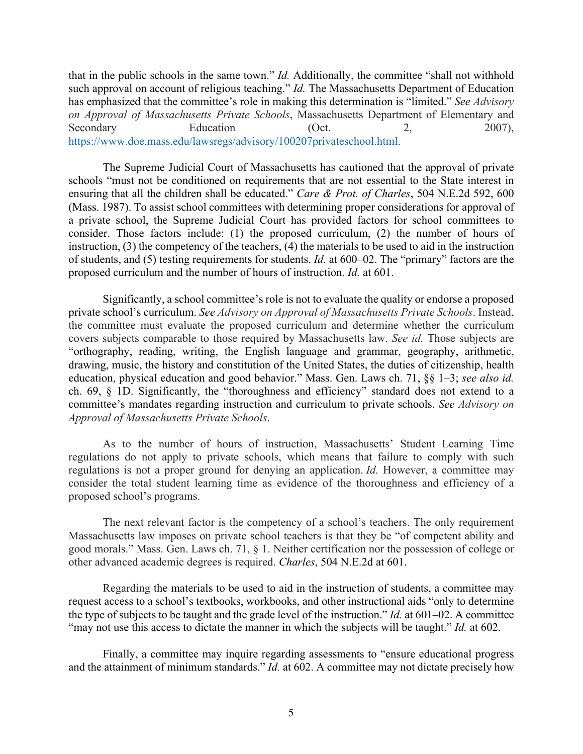that in the public schools in the same town." *Id.* Additionally, the committee "shall not withhold such approval on account of religious teaching." *Id.* The Massachusetts Department of Education has emphasized that the committee's role in making this determination is "limited." *See Advisory on Approval of Massachusetts Private Schools*, Massachusetts Department of Elementary and Secondary Education (Oct. 2, 2007), https://www.doe.mass.edu/lawsregs/advisory/100207privateschool.html.

The Supreme Judicial Court of Massachusetts has cautioned that the approval of private schools "must not be conditioned on requirements that are not essential to the State interest in ensuring that all the children shall be educated." *Care & Prot. of Charles*, 504 N.E.2d 592, 600 (Mass. 1987). To assist school committees with determining proper considerations for approval of a private school, the Supreme Judicial Court has provided factors for school committees to consider. Those factors include: (1) the proposed curriculum, (2) the number of hours of instruction,  $(3)$  the competency of the teachers,  $(4)$  the materials to be used to aid in the instruction of students, and (5) testing requirements for students. *Id.* at 600–02. The "primary" factors are the proposed curriculum and the number of hours of instruction. *Id.* at 601.

Significantly, a school committee's role is not to evaluate the quality or endorse a proposed private school's curriculum. *See Advisory on Approval of Massachusetts Private Schools*. Instead, the committee must evaluate the proposed curriculum and determine whether the curriculum covers subjects comparable to those required by Massachusetts law. *See id.* Those subjects are "orthography, reading, writing, the English language and grammar, geography, arithmetic, drawing, music, the history and constitution of the United States, the duties of citizenship, health education, physical education and good behavior." Mass. Gen. Laws ch. 71, §§ 1–3; *see also id.*  ch. 69, § 1D. Significantly, the "thoroughness and efficiency" standard does not extend to a committee's mandates regarding instruction and curriculum to private schools. *See Advisory on Approval of Massachusetts Private Schools*.

As to the number of hours of instruction, Massachusetts' Student Learning Time regulations do not apply to private schools, which means that failure to comply with such regulations is not a proper ground for denying an application. *Id.* However, a committee may consider the total student learning time as evidence of the thoroughness and efficiency of a proposed school's programs.

The next relevant factor is the competency of a school's teachers. The only requirement Massachusetts law imposes on private school teachers is that they be "of competent ability and good morals." Mass. Gen. Laws ch. 71, § 1. Neither certification nor the possession of college or other advanced academic degrees is required. *Charles*, 504 N.E.2d at 601.

Regarding the materials to be used to aid in the instruction of students, a committee may request access to a school's textbooks, workbooks, and other instructional aids "only to determine the type of subjects to be taught and the grade level of the instruction." *Id.* at 601–02. A committee "may not use this access to dictate the manner in which the subjects will be taught." *Id.* at 602.

Finally, a committee may inquire regarding assessments to "ensure educational progress and the attainment of minimum standards." *Id.* at 602. A committee may not dictate precisely how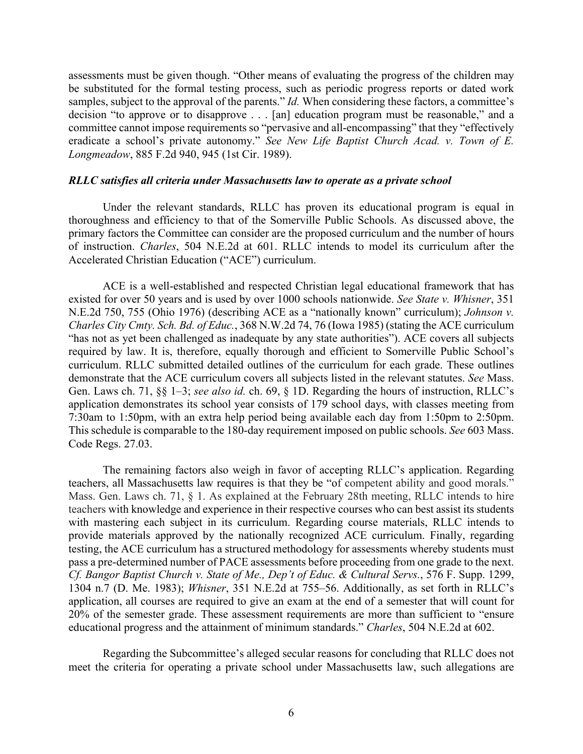assessments must be given though. "Other means of evaluating the progress of the children may be substituted for the formal testing process, such as periodic progress reports or dated work samples, subject to the approval of the parents." *Id.* When considering these factors, a committee's decision "to approve or to disapprove . . . [an] education program must be reasonable," and a committee cannot impose requirements so "pervasive and all-encompassing" that they "effectively eradicate a school's private autonomy." *See New Life Baptist Church Acad. v. Town of E. Longmeadow*, 885 F.2d 940, 945 (1st Cir. 1989).

#### *RLLC satisfies all criteria under Massachusetts law to operate as a private school*

Under the relevant standards, RLLC has proven its educational program is equal in thoroughness and efficiency to that of the Somerville Public Schools. As discussed above, the primary factors the Committee can consider are the proposed curriculum and the number of hours of instruction. *Charles*, 504 N.E.2d at 601. RLLC intends to model its curriculum after the Accelerated Christian Education ("ACE") curriculum.

ACE is a well-established and respected Christian legal educational framework that has existed for over 50 years and is used by over 1000 schools nationwide. *See State v. Whisner*, 351 N.E.2d 750, 755 (Ohio 1976) (describing ACE as a "nationally known" curriculum); *Johnson v. Charles City Cmty. Sch. Bd. of Educ.*, 368 N.W.2d 74, 76 (Iowa 1985) (stating the ACE curriculum "has not as yet been challenged as inadequate by any state authorities"). ACE covers all subjects required by law. It is, therefore, equally thorough and efficient to Somerville Public School's curriculum. RLLC submitted detailed outlines of the curriculum for each grade. These outlines demonstrate that the ACE curriculum covers all subjects listed in the relevant statutes. *See* Mass. Gen. Laws ch. 71, §§ 1–3; *see also id.* ch. 69, § 1D. Regarding the hours of instruction, RLLC's application demonstrates its school year consists of 179 school days, with classes meeting from 7:30am to 1:50pm, with an extra help period being available each day from 1:50pm to 2:50pm. This schedule is comparable to the 180-day requirement imposed on public schools. *See* 603 Mass. Code Regs. 27.03.

The remaining factors also weigh in favor of accepting RLLC's application. Regarding teachers, all Massachusetts law requires is that they be "of competent ability and good morals." Mass. Gen. Laws ch. 71, § 1. As explained at the February 28th meeting, RLLC intends to hire teachers with knowledge and experience in their respective courses who can best assist its students with mastering each subject in its curriculum. Regarding course materials, RLLC intends to provide materials approved by the nationally recognized ACE curriculum. Finally, regarding testing, the ACE curriculum has a structured methodology for assessments whereby students must pass a pre-determined number of PACE assessments before proceeding from one grade to the next. *Cf. Bangor Baptist Church v. State of Me., Dep't of Educ. & Cultural Servs.*, 576 F. Supp. 1299, 1304 n.7 (D. Me. 1983); *Whisner*, 351 N.E.2d at 755–56. Additionally, as set forth in RLLC's application, all courses are required to give an exam at the end of a semester that will count for 20% of the semester grade. These assessment requirements are more than sufficient to "ensure educational progress and the attainment of minimum standards." *Charles*, 504 N.E.2d at 602.

Regarding the Subcommittee's alleged secular reasons for concluding that RLLC does not meet the criteria for operating a private school under Massachusetts law, such allegations are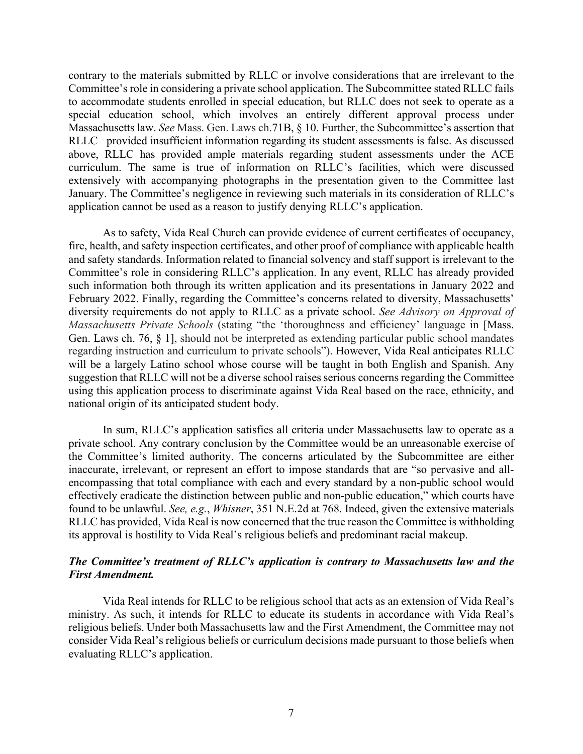contrary to the materials submitted by RLLC or involve considerations that are irrelevant to the Committee's role in considering a private school application. The Subcommittee stated RLLC fails to accommodate students enrolled in special education, but RLLC does not seek to operate as a special education school, which involves an entirely different approval process under Massachusetts law. *See* Mass. Gen. Laws ch.71B, § 10. Further, the Subcommittee's assertion that RLLC provided insufficient information regarding its student assessments is false. As discussed above, RLLC has provided ample materials regarding student assessments under the ACE curriculum. The same is true of information on RLLC's facilities, which were discussed extensively with accompanying photographs in the presentation given to the Committee last January. The Committee's negligence in reviewing such materials in its consideration of RLLC's application cannot be used as a reason to justify denying RLLC's application.

As to safety, Vida Real Church can provide evidence of current certificates of occupancy, fire, health, and safety inspection certificates, and other proof of compliance with applicable health and safety standards. Information related to financial solvency and staff support is irrelevant to the Committee's role in considering RLLC's application. In any event, RLLC has already provided such information both through its written application and its presentations in January 2022 and February 2022. Finally, regarding the Committee's concerns related to diversity, Massachusetts' diversity requirements do not apply to RLLC as a private school. *See Advisory on Approval of Massachusetts Private Schools* (stating "the 'thoroughness and efficiency' language in [Mass. Gen. Laws ch. 76, § 1], should not be interpreted as extending particular public school mandates regarding instruction and curriculum to private schools"). However, Vida Real anticipates RLLC will be a largely Latino school whose course will be taught in both English and Spanish. Any suggestion that RLLC will not be a diverse school raises serious concerns regarding the Committee using this application process to discriminate against Vida Real based on the race, ethnicity, and national origin of its anticipated student body.

In sum, RLLC's application satisfies all criteria under Massachusetts law to operate as a private school. Any contrary conclusion by the Committee would be an unreasonable exercise of the Committee's limited authority. The concerns articulated by the Subcommittee are either inaccurate, irrelevant, or represent an effort to impose standards that are "so pervasive and allencompassing that total compliance with each and every standard by a non-public school would effectively eradicate the distinction between public and non-public education," which courts have found to be unlawful. *See, e.g.*, *Whisner*, 351 N.E.2d at 768. Indeed, given the extensive materials RLLC has provided, Vida Real is now concerned that the true reason the Committee is withholding its approval is hostility to Vida Real's religious beliefs and predominant racial makeup.

# *The Committee's treatment of RLLC's application is contrary to Massachusetts law and the First Amendment.*

Vida Real intends for RLLC to be religious school that acts as an extension of Vida Real's ministry. As such, it intends for RLLC to educate its students in accordance with Vida Real's religious beliefs. Under both Massachusetts law and the First Amendment, the Committee may not consider Vida Real's religious beliefs or curriculum decisions made pursuant to those beliefs when evaluating RLLC's application.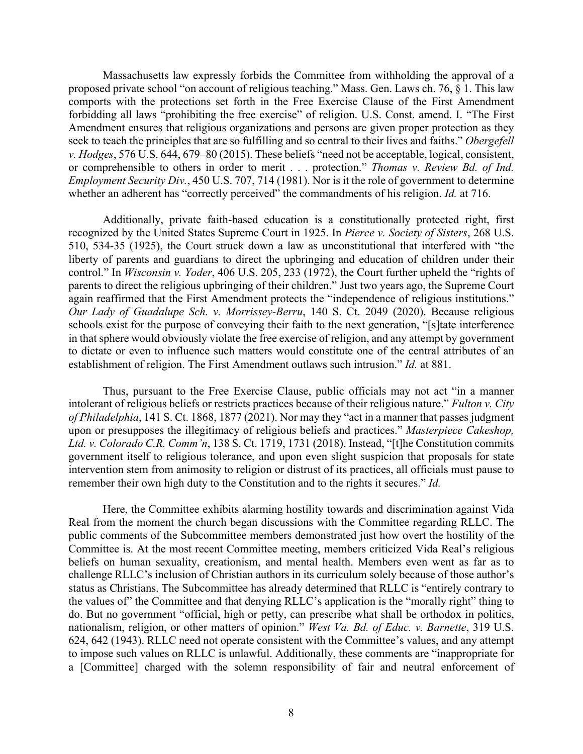Massachusetts law expressly forbids the Committee from withholding the approval of a proposed private school "on account of religious teaching." Mass. Gen. Laws ch. 76, § 1. This law comports with the protections set forth in the Free Exercise Clause of the First Amendment forbidding all laws "prohibiting the free exercise" of religion. U.S. Const. amend. I. "The First Amendment ensures that religious organizations and persons are given proper protection as they seek to teach the principles that are so fulfilling and so central to their lives and faiths." *Obergefell v. Hodges*, 576 U.S. 644, 679–80 (2015). These beliefs "need not be acceptable, logical, consistent, or comprehensible to others in order to merit . . . protection." *Thomas v. Review Bd. of Ind. Employment Security Div.*, 450 U.S. 707, 714 (1981). Nor is it the role of government to determine whether an adherent has "correctly perceived" the commandments of his religion. *Id.* at 716.

Additionally, private faith-based education is a constitutionally protected right, first recognized by the United States Supreme Court in 1925. In *Pierce v. Society of Sisters*, 268 U.S. 510, 534-35 (1925), the Court struck down a law as unconstitutional that interfered with "the liberty of parents and guardians to direct the upbringing and education of children under their control." In *Wisconsin v. Yoder*, 406 U.S. 205, 233 (1972), the Court further upheld the "rights of parents to direct the religious upbringing of their children." Just two years ago, the Supreme Court again reaffirmed that the First Amendment protects the "independence of religious institutions." *Our Lady of Guadalupe Sch. v. Morrissey-Berru*, 140 S. Ct. 2049 (2020). Because religious schools exist for the purpose of conveying their faith to the next generation, "[s]tate interference in that sphere would obviously violate the free exercise of religion, and any attempt by government to dictate or even to influence such matters would constitute one of the central attributes of an establishment of religion. The First Amendment outlaws such intrusion." *Id.* at 881.

Thus, pursuant to the Free Exercise Clause, public officials may not act "in a manner intolerant of religious beliefs or restricts practices because of their religious nature." *Fulton v. City of Philadelphia*, 141 S. Ct. 1868, 1877 (2021). Nor may they "act in a manner that passes judgment upon or presupposes the illegitimacy of religious beliefs and practices." *Masterpiece Cakeshop, Ltd. v. Colorado C.R. Comm'n*, 138 S. Ct. 1719, 1731 (2018). Instead, "[t]he Constitution commits government itself to religious tolerance, and upon even slight suspicion that proposals for state intervention stem from animosity to religion or distrust of its practices, all officials must pause to remember their own high duty to the Constitution and to the rights it secures." *Id.*

Here, the Committee exhibits alarming hostility towards and discrimination against Vida Real from the moment the church began discussions with the Committee regarding RLLC. The public comments of the Subcommittee members demonstrated just how overt the hostility of the Committee is. At the most recent Committee meeting, members criticized Vida Real's religious beliefs on human sexuality, creationism, and mental health. Members even went as far as to challenge RLLC's inclusion of Christian authors in its curriculum solely because of those author's status as Christians. The Subcommittee has already determined that RLLC is "entirely contrary to the values of" the Committee and that denying RLLC's application is the "morally right" thing to do. But no government "official, high or petty, can prescribe what shall be orthodox in politics, nationalism, religion, or other matters of opinion." *West Va. Bd. of Educ. v. Barnette*, 319 U.S. 624, 642 (1943). RLLC need not operate consistent with the Committee's values, and any attempt to impose such values on RLLC is unlawful. Additionally, these comments are "inappropriate for a [Committee] charged with the solemn responsibility of fair and neutral enforcement of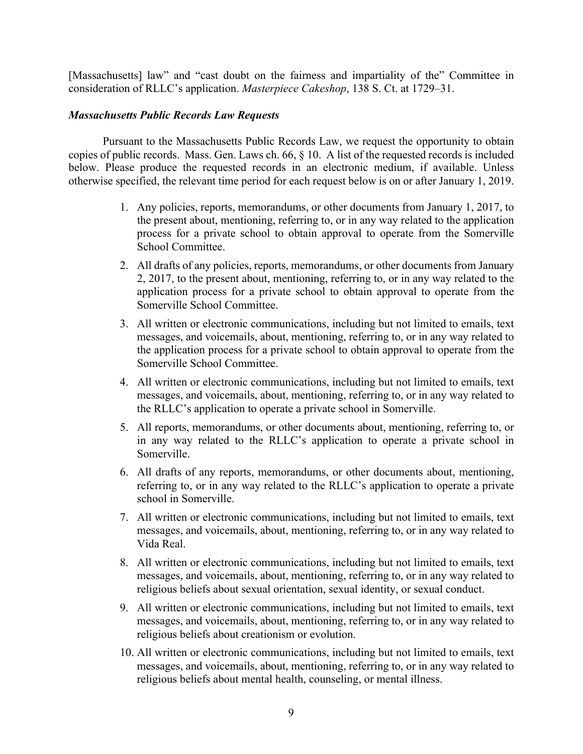[Massachusetts] law" and "cast doubt on the fairness and impartiality of the" Committee in consideration of RLLC's application. *Masterpiece Cakeshop*, 138 S. Ct. at 1729–31.

### *Massachusetts Public Records Law Requests*

Pursuant to the Massachusetts Public Records Law, we request the opportunity to obtain copies of public records. Mass. Gen. Laws ch. 66, § 10. A list of the requested records is included below. Please produce the requested records in an electronic medium, if available. Unless otherwise specified, the relevant time period for each request below is on or after January 1, 2019.

- 1. Any policies, reports, memorandums, or other documents from January 1, 2017, to the present about, mentioning, referring to, or in any way related to the application process for a private school to obtain approval to operate from the Somerville School Committee.
- 2. All drafts of any policies, reports, memorandums, or other documents from January 2, 2017, to the present about, mentioning, referring to, or in any way related to the application process for a private school to obtain approval to operate from the Somerville School Committee.
- 3. All written or electronic communications, including but not limited to emails, text messages, and voicemails, about, mentioning, referring to, or in any way related to the application process for a private school to obtain approval to operate from the Somerville School Committee.
- 4. All written or electronic communications, including but not limited to emails, text messages, and voicemails, about, mentioning, referring to, or in any way related to the RLLC's application to operate a private school in Somerville.
- 5. All reports, memorandums, or other documents about, mentioning, referring to, or in any way related to the RLLC's application to operate a private school in Somerville.
- 6. All drafts of any reports, memorandums, or other documents about, mentioning, referring to, or in any way related to the RLLC's application to operate a private school in Somerville.
- 7. All written or electronic communications, including but not limited to emails, text messages, and voicemails, about, mentioning, referring to, or in any way related to Vida Real.
- 8. All written or electronic communications, including but not limited to emails, text messages, and voicemails, about, mentioning, referring to, or in any way related to religious beliefs about sexual orientation, sexual identity, or sexual conduct.
- 9. All written or electronic communications, including but not limited to emails, text messages, and voicemails, about, mentioning, referring to, or in any way related to religious beliefs about creationism or evolution.
- 10. All written or electronic communications, including but not limited to emails, text messages, and voicemails, about, mentioning, referring to, or in any way related to religious beliefs about mental health, counseling, or mental illness.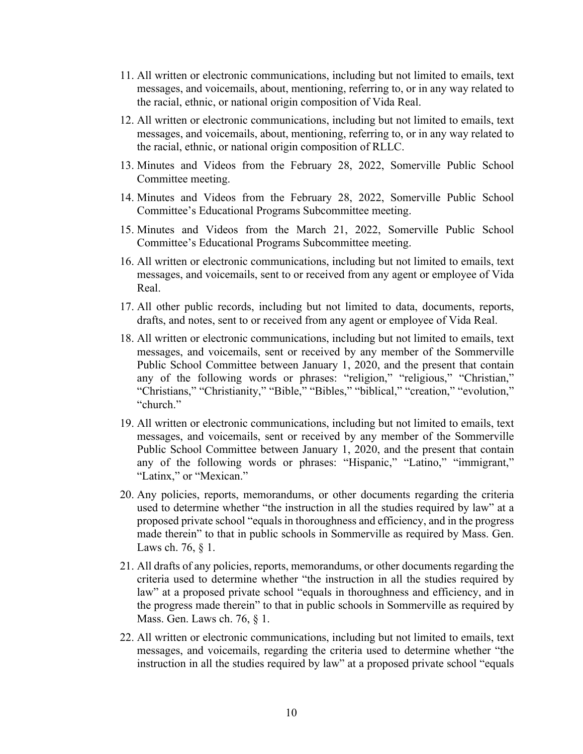- 11. All written or electronic communications, including but not limited to emails, text messages, and voicemails, about, mentioning, referring to, or in any way related to the racial, ethnic, or national origin composition of Vida Real.
- 12. All written or electronic communications, including but not limited to emails, text messages, and voicemails, about, mentioning, referring to, or in any way related to the racial, ethnic, or national origin composition of RLLC.
- 13. Minutes and Videos from the February 28, 2022, Somerville Public School Committee meeting.
- 14. Minutes and Videos from the February 28, 2022, Somerville Public School Committee's Educational Programs Subcommittee meeting.
- 15. Minutes and Videos from the March 21, 2022, Somerville Public School Committee's Educational Programs Subcommittee meeting.
- 16. All written or electronic communications, including but not limited to emails, text messages, and voicemails, sent to or received from any agent or employee of Vida Real.
- 17. All other public records, including but not limited to data, documents, reports, drafts, and notes, sent to or received from any agent or employee of Vida Real.
- 18. All written or electronic communications, including but not limited to emails, text messages, and voicemails, sent or received by any member of the Sommerville Public School Committee between January 1, 2020, and the present that contain any of the following words or phrases: "religion," "religious," "Christian," "Christians," "Christianity," "Bible," "Bibles," "biblical," "creation," "evolution," "church."
- 19. All written or electronic communications, including but not limited to emails, text messages, and voicemails, sent or received by any member of the Sommerville Public School Committee between January 1, 2020, and the present that contain any of the following words or phrases: "Hispanic," "Latino," "immigrant," "Latinx," or "Mexican."
- 20. Any policies, reports, memorandums, or other documents regarding the criteria used to determine whether "the instruction in all the studies required by law" at a proposed private school "equals in thoroughness and efficiency, and in the progress made therein" to that in public schools in Sommerville as required by Mass. Gen. Laws ch. 76,  $§$  1.
- 21. All drafts of any policies, reports, memorandums, or other documents regarding the criteria used to determine whether "the instruction in all the studies required by law" at a proposed private school "equals in thoroughness and efficiency, and in the progress made therein" to that in public schools in Sommerville as required by Mass. Gen. Laws ch. 76, § 1.
- 22. All written or electronic communications, including but not limited to emails, text messages, and voicemails, regarding the criteria used to determine whether "the instruction in all the studies required by law" at a proposed private school "equals